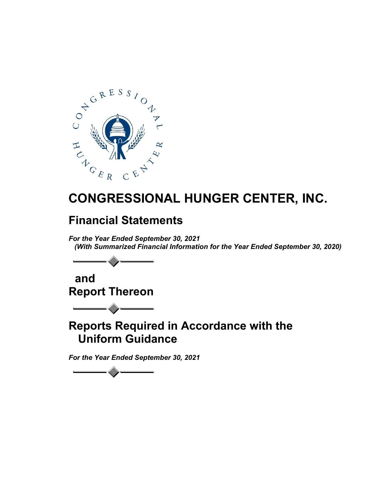

## **Financial Statements**

*For the Year Ended September 30, 2021 (With Summarized Financial Information for the Year Ended September 30, 2020)* 

 **and Report Thereon**



## **Reports Required in Accordance with the Uniform Guidance**

*For the Year Ended September 30, 2021* 

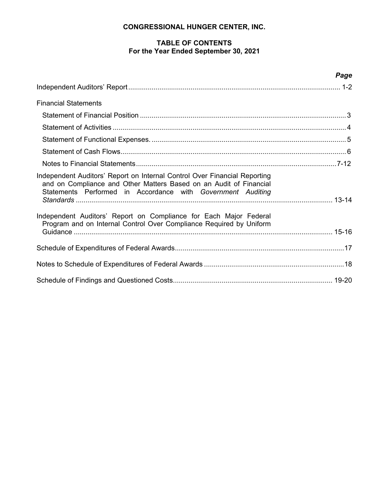#### **TABLE OF CONTENTS For the Year Ended September 30, 2021**

|                                                                                                                                                                                                                | Page |
|----------------------------------------------------------------------------------------------------------------------------------------------------------------------------------------------------------------|------|
|                                                                                                                                                                                                                |      |
| <b>Financial Statements</b>                                                                                                                                                                                    |      |
|                                                                                                                                                                                                                |      |
|                                                                                                                                                                                                                |      |
|                                                                                                                                                                                                                |      |
|                                                                                                                                                                                                                |      |
|                                                                                                                                                                                                                |      |
| Independent Auditors' Report on Internal Control Over Financial Reporting<br>and on Compliance and Other Matters Based on an Audit of Financial<br>Statements Performed in Accordance with Government Auditing |      |
| Independent Auditors' Report on Compliance for Each Major Federal<br>Program and on Internal Control Over Compliance Required by Uniform                                                                       |      |
|                                                                                                                                                                                                                |      |
|                                                                                                                                                                                                                |      |
|                                                                                                                                                                                                                |      |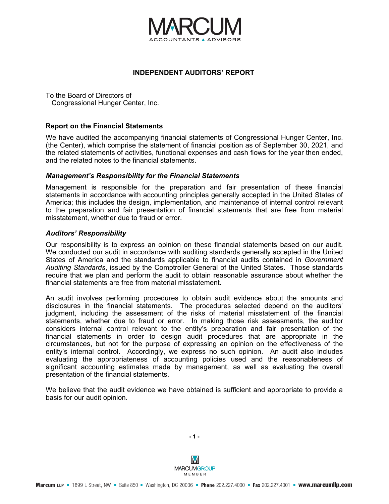

#### **INDEPENDENT AUDITORS' REPORT**

To the Board of Directors of Congressional Hunger Center, Inc.

#### **Report on the Financial Statements**

We have audited the accompanying financial statements of Congressional Hunger Center, Inc. (the Center), which comprise the statement of financial position as of September 30, 2021, and the related statements of activities, functional expenses and cash flows for the year then ended, and the related notes to the financial statements.

#### *Management's Responsibility for the Financial Statements*

Management is responsible for the preparation and fair presentation of these financial statements in accordance with accounting principles generally accepted in the United States of America; this includes the design, implementation, and maintenance of internal control relevant to the preparation and fair presentation of financial statements that are free from material misstatement, whether due to fraud or error.

#### *Auditors' Responsibility*

Our responsibility is to express an opinion on these financial statements based on our audit. We conducted our audit in accordance with auditing standards generally accepted in the United States of America and the standards applicable to financial audits contained in *Government Auditing Standards*, issued by the Comptroller General of the United States. Those standards require that we plan and perform the audit to obtain reasonable assurance about whether the financial statements are free from material misstatement.

An audit involves performing procedures to obtain audit evidence about the amounts and disclosures in the financial statements. The procedures selected depend on the auditors' judgment, including the assessment of the risks of material misstatement of the financial statements, whether due to fraud or error. In making those risk assessments, the auditor considers internal control relevant to the entity's preparation and fair presentation of the financial statements in order to design audit procedures that are appropriate in the circumstances, but not for the purpose of expressing an opinion on the effectiveness of the entity's internal control. Accordingly, we express no such opinion. An audit also includes evaluating the appropriateness of accounting policies used and the reasonableness of significant accounting estimates made by management, as well as evaluating the overall presentation of the financial statements.

We believe that the audit evidence we have obtained is sufficient and appropriate to provide a basis for our audit opinion.



M **MARCUMGROUP** MEMBER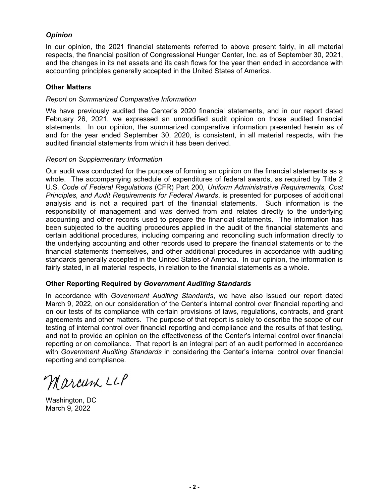#### *Opinion*

In our opinion, the 2021 financial statements referred to above present fairly, in all material respects, the financial position of Congressional Hunger Center, Inc. as of September 30, 2021, and the changes in its net assets and its cash flows for the year then ended in accordance with accounting principles generally accepted in the United States of America.

#### **Other Matters**

#### *Report on Summarized Comparative Information*

We have previously audited the Center's 2020 financial statements, and in our report dated February 26, 2021, we expressed an unmodified audit opinion on those audited financial statements. In our opinion, the summarized comparative information presented herein as of and for the year ended September 30, 2020, is consistent, in all material respects, with the audited financial statements from which it has been derived.

#### *Report on Supplementary Information*

Our audit was conducted for the purpose of forming an opinion on the financial statements as a whole. The accompanying schedule of expenditures of federal awards, as required by Title 2 U.S*. Code of Federal Regulations* (CFR) Part 200*, Uniform Administrative Requirements, Cost Principles, and Audit Requirements for Federal Awards*, is presented for purposes of additional analysis and is not a required part of the financial statements. Such information is the responsibility of management and was derived from and relates directly to the underlying accounting and other records used to prepare the financial statements. The information has been subjected to the auditing procedures applied in the audit of the financial statements and certain additional procedures, including comparing and reconciling such information directly to the underlying accounting and other records used to prepare the financial statements or to the financial statements themselves, and other additional procedures in accordance with auditing standards generally accepted in the United States of America. In our opinion, the information is fairly stated, in all material respects, in relation to the financial statements as a whole.

#### **Other Reporting Required by** *Government Auditing Standards*

In accordance with *Government Auditing Standards*, we have also issued our report dated March 9, 2022, on our consideration of the Center's internal control over financial reporting and on our tests of its compliance with certain provisions of laws, regulations, contracts, and grant agreements and other matters. The purpose of that report is solely to describe the scope of our testing of internal control over financial reporting and compliance and the results of that testing, and not to provide an opinion on the effectiveness of the Center's internal control over financial reporting or on compliance. That report is an integral part of an audit performed in accordance with *Government Auditing Standards* in considering the Center's internal control over financial reporting and compliance.

Marcum LLP

Washington, DC March 9, 2022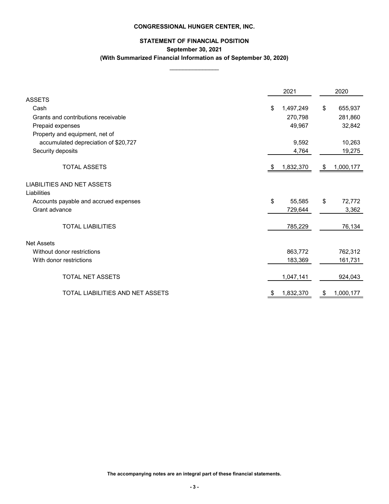## **STATEMENT OF FINANCIAL POSITION**

## **September 30, 2021**

## $\overline{\phantom{a}}$  , where  $\overline{\phantom{a}}$ **(With Summarized Financial Information as of September 30, 2020)**

|                                         | 2021            | 2020            |
|-----------------------------------------|-----------------|-----------------|
| <b>ASSETS</b>                           |                 |                 |
| Cash                                    | \$<br>1,497,249 | \$<br>655,937   |
| Grants and contributions receivable     | 270,798         | 281,860         |
| Prepaid expenses                        | 49,967          | 32,842          |
| Property and equipment, net of          |                 |                 |
| accumulated depreciation of \$20,727    | 9,592           | 10,263          |
| Security deposits                       | 4,764           | 19,275          |
| <b>TOTAL ASSETS</b>                     | \$<br>1,832,370 | \$<br>1,000,177 |
| <b>LIABILITIES AND NET ASSETS</b>       |                 |                 |
| Liabilities                             |                 |                 |
| Accounts payable and accrued expenses   | \$<br>55,585    | \$<br>72,772    |
| Grant advance                           | 729,644         | 3,362           |
| <b>TOTAL LIABILITIES</b>                | 785,229         | 76,134          |
| <b>Net Assets</b>                       |                 |                 |
| Without donor restrictions              | 863,772         | 762,312         |
| With donor restrictions                 | 183,369         | 161,731         |
| <b>TOTAL NET ASSETS</b>                 | 1,047,141       | 924,043         |
| <b>TOTAL LIABILITIES AND NET ASSETS</b> | \$<br>1,832,370 | \$<br>1,000,177 |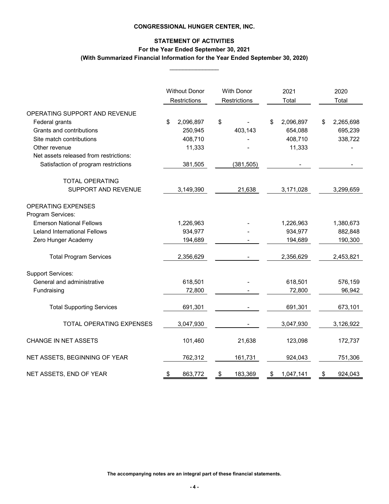## **(With Summarized Financial Information for the Year Ended September 30, 2020) For the Year Ended September 30, 2021 STATEMENT OF ACTIVITIES**

 $\overline{\phantom{a}}$  , where  $\overline{\phantom{a}}$ 

|                                                | <b>Without Donor</b><br>Restrictions | <b>With Donor</b><br><b>Restrictions</b> | 2021<br>Total   | 2020<br>Total   |
|------------------------------------------------|--------------------------------------|------------------------------------------|-----------------|-----------------|
| OPERATING SUPPORT AND REVENUE                  |                                      |                                          |                 |                 |
| Federal grants                                 | \$<br>2,096,897                      | \$                                       | \$<br>2,096,897 | 2,265,698<br>\$ |
| Grants and contributions                       | 250,945                              | 403,143                                  | 654,088         | 695,239         |
| Site match contributions                       | 408,710                              |                                          | 408,710         | 338,722         |
| Other revenue                                  | 11,333                               |                                          | 11,333          |                 |
| Net assets released from restrictions:         |                                      |                                          |                 |                 |
| Satisfaction of program restrictions           | 381,505                              | (381, 505)                               |                 |                 |
| <b>TOTAL OPERATING</b>                         |                                      |                                          |                 |                 |
| <b>SUPPORT AND REVENUE</b>                     | 3,149,390                            | 21,638                                   | 3,171,028       | 3,299,659       |
| <b>OPERATING EXPENSES</b><br>Program Services: |                                      |                                          |                 |                 |
| <b>Emerson National Fellows</b>                | 1,226,963                            |                                          | 1,226,963       | 1,380,673       |
| <b>Leland International Fellows</b>            | 934,977                              |                                          | 934,977         | 882,848         |
| Zero Hunger Academy                            | 194,689                              |                                          | 194,689         | 190,300         |
| <b>Total Program Services</b>                  | 2,356,629                            |                                          | 2,356,629       | 2,453,821       |
| <b>Support Services:</b>                       |                                      |                                          |                 |                 |
| General and administrative                     | 618,501                              |                                          | 618,501         | 576,159         |
| Fundraising                                    | 72,800                               |                                          | 72,800          | 96,942          |
| <b>Total Supporting Services</b>               | 691,301                              |                                          | 691,301         | 673,101         |
| <b>TOTAL OPERATING EXPENSES</b>                | 3,047,930                            |                                          | 3,047,930       | 3,126,922       |
| <b>CHANGE IN NET ASSETS</b>                    | 101,460                              | 21,638                                   | 123,098         | 172,737         |
| NET ASSETS, BEGINNING OF YEAR                  | 762,312                              | 161,731                                  | 924,043         | 751,306         |
| NET ASSETS, END OF YEAR                        | 863,772<br>\$                        | 183,369<br>\$                            | \$<br>1,047,141 | 924,043<br>\$   |

**The accompanying notes are an integral part of these financial statements.**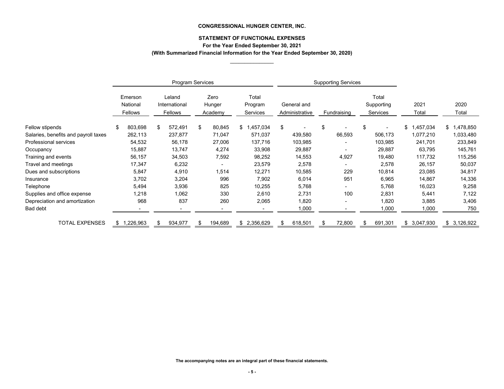## **STATEMENT OF FUNCTIONAL EXPENSES**

**For the Year Ended September 30, 2021**

## $\mathcal{L}$ **(With Summarized Financial Information for the Year Ended September 30, 2020)**

|                                      |    |                                | <b>Program Services</b>            |                           |                              | <b>Supporting Services</b> |                               |    |                |    |                                        |                 |               |
|--------------------------------------|----|--------------------------------|------------------------------------|---------------------------|------------------------------|----------------------------|-------------------------------|----|----------------|----|----------------------------------------|-----------------|---------------|
|                                      |    | Emerson<br>National<br>Fellows | Leland<br>International<br>Fellows | Zero<br>Hunger<br>Academy | Total<br>Program<br>Services |                            | General and<br>Administrative |    | Fundraising    |    | Total<br>Supporting<br><b>Services</b> | 2021<br>Total   | 2020<br>Total |
| Fellow stipends                      |    | 803,698                        | \$<br>572,491                      | \$<br>80,845              | \$1,457,034                  | $\frac{2}{3}$              |                               | \$ |                | \$ | $\blacksquare$                         | \$<br>1,457,034 | \$1,478,850   |
| Salaries, benefits and payroll taxes |    | 262,113                        | 237,877                            | 71,047                    | 571,037                      |                            | 439,580                       |    | 66,593         |    | 506,173                                | 1,077,210       | 1,033,480     |
| Professional services                |    | 54,532                         | 56,178                             | 27,006                    | 137,716                      |                            | 103,985                       |    |                |    | 103,985                                | 241,701         | 233,849       |
| Occupancy                            |    | 15,887                         | 13,747                             | 4,274                     | 33,908                       |                            | 29,887                        |    |                |    | 29,887                                 | 63,795          | 145,761       |
| Training and events                  |    | 56,157                         | 34,503                             | 7,592                     | 98,252                       |                            | 14,553                        |    | 4,927          |    | 19,480                                 | 117,732         | 115,256       |
| Travel and meetings                  |    | 17,347                         | 6,232                              |                           | 23,579                       |                            | 2,578                         |    |                |    | 2,578                                  | 26,157          | 50,037        |
| Dues and subscriptions               |    | 5,847                          | 4,910                              | 1,514                     | 12,271                       |                            | 10,585                        |    | 229            |    | 10,814                                 | 23,085          | 34,817        |
| Insurance                            |    | 3,702                          | 3,204                              | 996                       | 7,902                        |                            | 6,014                         |    | 951            |    | 6,965                                  | 14,867          | 14,336        |
| Telephone                            |    | 5,494                          | 3,936                              | 825                       | 10,255                       |                            | 5,768                         |    |                |    | 5,768                                  | 16,023          | 9,258         |
| Supplies and office expense          |    | 1,218                          | 1,062                              | 330                       | 2,610                        |                            | 2,731                         |    | 100            |    | 2,831                                  | 5,441           | 7,122         |
| Depreciation and amortization        |    | 968                            | 837                                | 260                       | 2,065                        |                            | 1,820                         |    | $\blacksquare$ |    | 1,820                                  | 3,885           | 3,406         |
| Bad debt                             |    |                                |                                    | ۰                         |                              |                            | 1,000                         |    |                |    | 1,000                                  | 1,000           | 750           |
| <b>TOTAL EXPENSES</b>                | S. | 1,226,963                      | 934,977                            | 194,689                   | \$2,356,629                  |                            | 618,501                       |    | 72,800         |    | 691,301                                | \$3,047,930     | \$3,126,922   |

**The accompanying notes are an integral part of these financial statements.**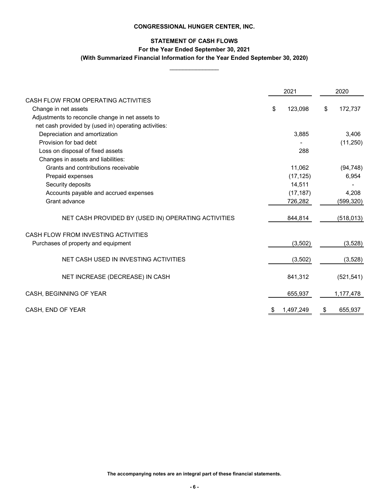## **STATEMENT OF CASH FLOWS**

## **For the Year Ended September 30, 2021**

## $\overline{\phantom{a}}$  , where  $\overline{\phantom{a}}$ **(With Summarized Financial Information for the Year Ended September 30, 2020)**

|                                                      | 2021            | 2020          |
|------------------------------------------------------|-----------------|---------------|
| CASH FLOW FROM OPERATING ACTIVITIES                  |                 |               |
| Change in net assets                                 | \$<br>123,098   | \$<br>172,737 |
| Adjustments to reconcile change in net assets to     |                 |               |
| net cash provided by (used in) operating activities: |                 |               |
| Depreciation and amortization                        | 3,885           | 3,406         |
| Provision for bad debt                               |                 | (11, 250)     |
| Loss on disposal of fixed assets                     | 288             |               |
| Changes in assets and liabilities:                   |                 |               |
| Grants and contributions receivable                  | 11,062          | (94, 748)     |
| Prepaid expenses                                     | (17, 125)       | 6,954         |
| Security deposits                                    | 14,511          |               |
| Accounts payable and accrued expenses                | (17, 187)       | 4,208         |
| Grant advance                                        | 726,282         | (599, 320)    |
| NET CASH PROVIDED BY (USED IN) OPERATING ACTIVITIES  | 844,814         | (518, 013)    |
| CASH FLOW FROM INVESTING ACTIVITIES                  |                 |               |
| Purchases of property and equipment                  | (3,502)         | (3, 528)      |
| NET CASH USED IN INVESTING ACTIVITIES                | (3,502)         | (3,528)       |
| NET INCREASE (DECREASE) IN CASH                      | 841,312         | (521, 541)    |
| CASH, BEGINNING OF YEAR                              | 655,937         | 1,177,478     |
| CASH, END OF YEAR                                    | \$<br>1,497,249 | \$<br>655,937 |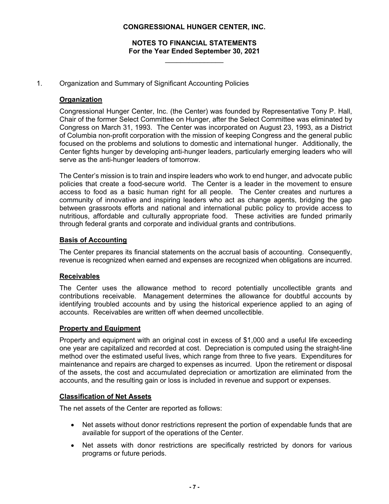#### **NOTES TO FINANCIAL STATEMENTS For the Year Ended September 30, 2021**

 $\overline{\phantom{a}}$  , where  $\overline{\phantom{a}}$ 

#### 1. Organization and Summary of Significant Accounting Policies

#### **Organization**

Congressional Hunger Center, Inc. (the Center) was founded by Representative Tony P. Hall, Chair of the former Select Committee on Hunger, after the Select Committee was eliminated by Congress on March 31, 1993. The Center was incorporated on August 23, 1993, as a District of Columbia non-profit corporation with the mission of keeping Congress and the general public focused on the problems and solutions to domestic and international hunger. Additionally, the Center fights hunger by developing anti-hunger leaders, particularly emerging leaders who will serve as the anti-hunger leaders of tomorrow.

The Center's mission is to train and inspire leaders who work to end hunger, and advocate public policies that create a food-secure world. The Center is a leader in the movement to ensure access to food as a basic human right for all people. The Center creates and nurtures a community of innovative and inspiring leaders who act as change agents, bridging the gap between grassroots efforts and national and international public policy to provide access to nutritious, affordable and culturally appropriate food. These activities are funded primarily through federal grants and corporate and individual grants and contributions.

#### **Basis of Accounting**

The Center prepares its financial statements on the accrual basis of accounting. Consequently, revenue is recognized when earned and expenses are recognized when obligations are incurred.

#### **Receivables**

The Center uses the allowance method to record potentially uncollectible grants and contributions receivable. Management determines the allowance for doubtful accounts by identifying troubled accounts and by using the historical experience applied to an aging of accounts. Receivables are written off when deemed uncollectible.

#### **Property and Equipment**

Property and equipment with an original cost in excess of \$1,000 and a useful life exceeding one year are capitalized and recorded at cost. Depreciation is computed using the straight-line method over the estimated useful lives, which range from three to five years. Expenditures for maintenance and repairs are charged to expenses as incurred. Upon the retirement or disposal of the assets, the cost and accumulated depreciation or amortization are eliminated from the accounts, and the resulting gain or loss is included in revenue and support or expenses.

#### **Classification of Net Assets**

The net assets of the Center are reported as follows:

- Net assets without donor restrictions represent the portion of expendable funds that are available for support of the operations of the Center.
- Net assets with donor restrictions are specifically restricted by donors for various programs or future periods.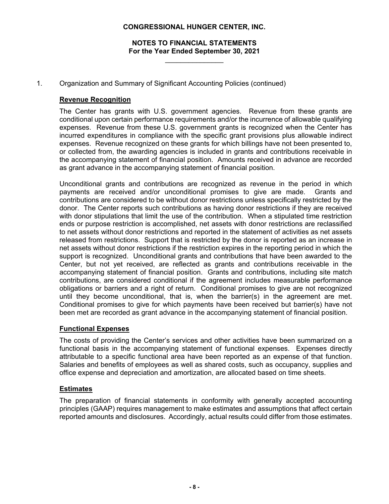#### **NOTES TO FINANCIAL STATEMENTS For the Year Ended September 30, 2021**

 $\overline{\phantom{a}}$  , where  $\overline{\phantom{a}}$ 

#### 1. Organization and Summary of Significant Accounting Policies (continued)

#### **Revenue Recognition**

The Center has grants with U.S. government agencies. Revenue from these grants are conditional upon certain performance requirements and/or the incurrence of allowable qualifying expenses. Revenue from these U.S. government grants is recognized when the Center has incurred expenditures in compliance with the specific grant provisions plus allowable indirect expenses. Revenue recognized on these grants for which billings have not been presented to, or collected from, the awarding agencies is included in grants and contributions receivable in the accompanying statement of financial position. Amounts received in advance are recorded as grant advance in the accompanying statement of financial position.

Unconditional grants and contributions are recognized as revenue in the period in which payments are received and/or unconditional promises to give are made. Grants and contributions are considered to be without donor restrictions unless specifically restricted by the donor. The Center reports such contributions as having donor restrictions if they are received with donor stipulations that limit the use of the contribution. When a stipulated time restriction ends or purpose restriction is accomplished, net assets with donor restrictions are reclassified to net assets without donor restrictions and reported in the statement of activities as net assets released from restrictions. Support that is restricted by the donor is reported as an increase in net assets without donor restrictions if the restriction expires in the reporting period in which the support is recognized. Unconditional grants and contributions that have been awarded to the Center, but not yet received, are reflected as grants and contributions receivable in the accompanying statement of financial position. Grants and contributions, including site match contributions, are considered conditional if the agreement includes measurable performance obligations or barriers and a right of return. Conditional promises to give are not recognized until they become unconditional, that is, when the barrier(s) in the agreement are met. Conditional promises to give for which payments have been received but barrier(s) have not been met are recorded as grant advance in the accompanying statement of financial position.

#### **Functional Expenses**

The costs of providing the Center's services and other activities have been summarized on a functional basis in the accompanying statement of functional expenses. Expenses directly attributable to a specific functional area have been reported as an expense of that function. Salaries and benefits of employees as well as shared costs, such as occupancy, supplies and office expense and depreciation and amortization, are allocated based on time sheets.

#### **Estimates**

The preparation of financial statements in conformity with generally accepted accounting principles (GAAP) requires management to make estimates and assumptions that affect certain reported amounts and disclosures. Accordingly, actual results could differ from those estimates.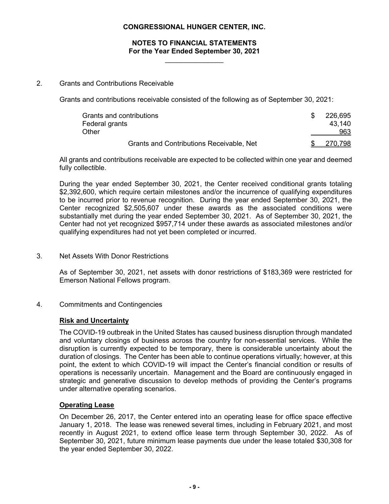#### **NOTES TO FINANCIAL STATEMENTS For the Year Ended September 30, 2021**  $\overline{\phantom{a}}$  , where  $\overline{\phantom{a}}$

#### 2. Grants and Contributions Receivable

Grants and contributions receivable consisted of the following as of September 30, 2021:

| Grants and contributions                        | 226.695 |
|-------------------------------------------------|---------|
| Federal grants                                  | 43.140  |
| Other                                           | 963.    |
| <b>Grants and Contributions Receivable, Net</b> | 270.798 |

All grants and contributions receivable are expected to be collected within one year and deemed fully collectible.

During the year ended September 30, 2021, the Center received conditional grants totaling \$2,392,600, which require certain milestones and/or the incurrence of qualifying expenditures to be incurred prior to revenue recognition. During the year ended September 30, 2021, the Center recognized \$2,505,607 under these awards as the associated conditions were substantially met during the year ended September 30, 2021. As of September 30, 2021, the Center had not yet recognized \$957,714 under these awards as associated milestones and/or qualifying expenditures had not yet been completed or incurred.

3. Net Assets With Donor Restrictions

As of September 30, 2021, net assets with donor restrictions of \$183,369 were restricted for Emerson National Fellows program.

4. Commitments and Contingencies

#### **Risk and Uncertainty**

The COVID-19 outbreak in the United States has caused business disruption through mandated and voluntary closings of business across the country for non-essential services. While the disruption is currently expected to be temporary, there is considerable uncertainty about the duration of closings. The Center has been able to continue operations virtually; however, at this point, the extent to which COVID-19 will impact the Center's financial condition or results of operations is necessarily uncertain. Management and the Board are continuously engaged in strategic and generative discussion to develop methods of providing the Center's programs under alternative operating scenarios.

#### **Operating Lease**

On December 26, 2017, the Center entered into an operating lease for office space effective January 1, 2018. The lease was renewed several times, including in February 2021, and most recently in August 2021, to extend office lease term through September 30, 2022. As of September 30, 2021, future minimum lease payments due under the lease totaled \$30,308 for the year ended September 30, 2022.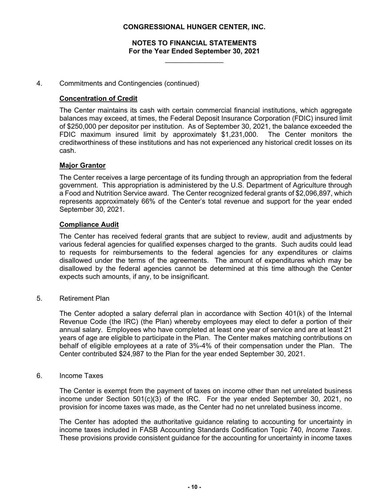#### **NOTES TO FINANCIAL STATEMENTS For the Year Ended September 30, 2021**

 $\overline{\phantom{a}}$  , where  $\overline{\phantom{a}}$ 

#### 4. Commitments and Contingencies (continued)

#### **Concentration of Credit**

The Center maintains its cash with certain commercial financial institutions, which aggregate balances may exceed, at times, the Federal Deposit Insurance Corporation (FDIC) insured limit of \$250,000 per depositor per institution. As of September 30, 2021, the balance exceeded the FDIC maximum insured limit by approximately \$1,231,000. The Center monitors the creditworthiness of these institutions and has not experienced any historical credit losses on its cash.

#### **Major Grantor**

The Center receives a large percentage of its funding through an appropriation from the federal government. This appropriation is administered by the U.S. Department of Agriculture through a Food and Nutrition Service award. The Center recognized federal grants of \$2,096,897, which represents approximately 66% of the Center's total revenue and support for the year ended September 30, 2021.

#### **Compliance Audit**

The Center has received federal grants that are subject to review, audit and adjustments by various federal agencies for qualified expenses charged to the grants. Such audits could lead to requests for reimbursements to the federal agencies for any expenditures or claims disallowed under the terms of the agreements. The amount of expenditures which may be disallowed by the federal agencies cannot be determined at this time although the Center expects such amounts, if any, to be insignificant.

#### 5. Retirement Plan

The Center adopted a salary deferral plan in accordance with Section 401(k) of the Internal Revenue Code (the IRC) (the Plan) whereby employees may elect to defer a portion of their annual salary. Employees who have completed at least one year of service and are at least 21 years of age are eligible to participate in the Plan. The Center makes matching contributions on behalf of eligible employees at a rate of 3%-4% of their compensation under the Plan. The Center contributed \$24,987 to the Plan for the year ended September 30, 2021.

#### 6. Income Taxes

The Center is exempt from the payment of taxes on income other than net unrelated business income under Section 501(c)(3) of the IRC. For the year ended September 30, 2021, no provision for income taxes was made, as the Center had no net unrelated business income.

The Center has adopted the authoritative guidance relating to accounting for uncertainty in income taxes included in FASB Accounting Standards Codification Topic 740, *Income Taxes*. These provisions provide consistent guidance for the accounting for uncertainty in income taxes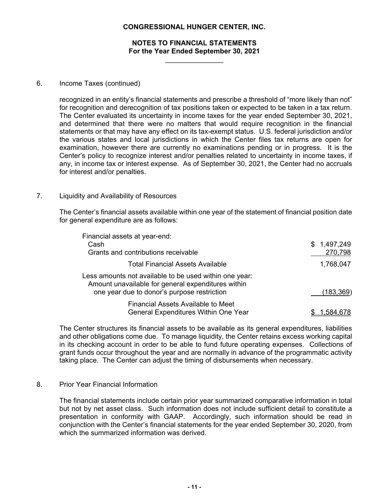#### **NOTES TO FINANCIAL STATEMENTS For the Year Ended September 30, 2021**

 $\overline{\phantom{a}}$  , where  $\overline{\phantom{a}}$ 

#### 6. Income Taxes (continued)

recognized in an entity's financial statements and prescribe a threshold of "more likely than not" for recognition and derecognition of tax positions taken or expected to be taken in a tax return. The Center evaluated its uncertainty in income taxes for the year ended September 30, 2021, and determined that there were no matters that would require recognition in the financial statements or that may have any effect on its tax-exempt status. U.S. federal jurisdiction and/or the various states and local jurisdictions in which the Center files tax returns are open for examination, however there are currently no examinations pending or in progress. It is the Center's policy to recognize interest and/or penalties related to uncertainty in income taxes, if any, in income tax or interest expense. As of September 30, 2021, the Center had no accruals for interest and/or penalties.

#### 7. Liquidity and Availability of Resources

The Center's financial assets available within one year of the statement of financial position date for general expenditure are as follows:

| Financial assets at year-end:                                                                                                                               |                  |
|-------------------------------------------------------------------------------------------------------------------------------------------------------------|------------------|
| Cash                                                                                                                                                        | \$1,497,249      |
| Grants and contributions receivable                                                                                                                         | 270,798          |
| <b>Total Financial Assets Available</b>                                                                                                                     | 1,768,047        |
| Less amounts not available to be used within one year:<br>Amount unavailable for general expenditures within<br>one year due to donor's purpose restriction | (183, 369)       |
|                                                                                                                                                             |                  |
| Financial Assets Available to Meet<br>General Expenditures Within One Year                                                                                  | <u>1,584,678</u> |

The Center structures its financial assets to be available as its general expenditures, liabilities and other obligations come due. To manage liquidity, the Center retains excess working capital in its checking account in order to be able to fund future operating expenses. Collections of grant funds occur throughout the year and are normally in advance of the programmatic activity taking place. The Center can adjust the timing of disbursements when necessary.

#### 8. Prior Year Financial Information

The financial statements include certain prior year summarized comparative information in total but not by net asset class. Such information does not include sufficient detail to constitute a presentation in conformity with GAAP. Accordingly, such information should be read in conjunction with the Center's financial statements for the year ended September 30, 2020, from which the summarized information was derived.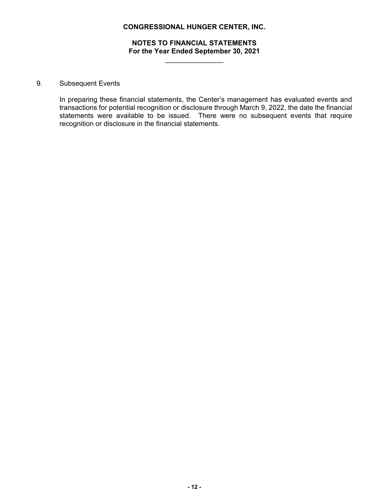#### **NOTES TO FINANCIAL STATEMENTS For the Year Ended September 30, 2021**

 $\overline{\phantom{a}}$  , where  $\overline{\phantom{a}}$ 

#### 9. Subsequent Events

In preparing these financial statements, the Center's management has evaluated events and transactions for potential recognition or disclosure through March 9, 2022, the date the financial statements were available to be issued. There were no subsequent events that require recognition or disclosure in the financial statements.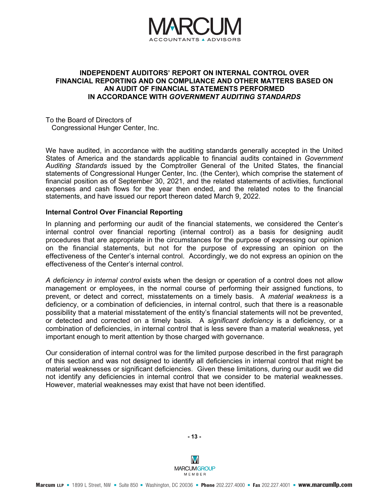

#### **INDEPENDENT AUDITORS' REPORT ON INTERNAL CONTROL OVER FINANCIAL REPORTING AND ON COMPLIANCE AND OTHER MATTERS BASED ON AN AUDIT OF FINANCIAL STATEMENTS PERFORMED IN ACCORDANCE WITH** *GOVERNMENT AUDITING STANDARDS*

To the Board of Directors of Congressional Hunger Center, Inc.

We have audited, in accordance with the auditing standards generally accepted in the United States of America and the standards applicable to financial audits contained in *Government Auditing Standards* issued by the Comptroller General of the United States, the financial statements of Congressional Hunger Center, Inc. (the Center), which comprise the statement of financial position as of September 30, 2021, and the related statements of activities, functional expenses and cash flows for the year then ended, and the related notes to the financial statements, and have issued our report thereon dated March 9, 2022.

#### **Internal Control Over Financial Reporting**

In planning and performing our audit of the financial statements, we considered the Center's internal control over financial reporting (internal control) as a basis for designing audit procedures that are appropriate in the circumstances for the purpose of expressing our opinion on the financial statements, but not for the purpose of expressing an opinion on the effectiveness of the Center's internal control. Accordingly, we do not express an opinion on the effectiveness of the Center's internal control.

*A deficiency in internal control* exists when the design or operation of a control does not allow management or employees, in the normal course of performing their assigned functions, to prevent, or detect and correct, misstatements on a timely basis. A *material weakness* is a deficiency, or a combination of deficiencies, in internal control, such that there is a reasonable possibility that a material misstatement of the entity's financial statements will not be prevented, or detected and corrected on a timely basis. A *significant deficiency* is a deficiency, or a combination of deficiencies, in internal control that is less severe than a material weakness, yet important enough to merit attention by those charged with governance.

Our consideration of internal control was for the limited purpose described in the first paragraph of this section and was not designed to identify all deficiencies in internal control that might be material weaknesses or significant deficiencies. Given these limitations, during our audit we did not identify any deficiencies in internal control that we consider to be material weaknesses. However, material weaknesses may exist that have not been identified.



M **MARCUMGROUP** MEMBER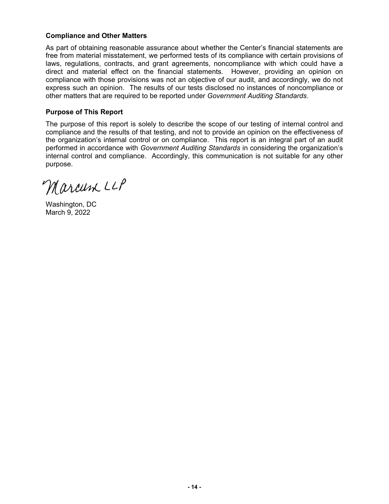#### **Compliance and Other Matters**

As part of obtaining reasonable assurance about whether the Center's financial statements are free from material misstatement, we performed tests of its compliance with certain provisions of laws, regulations, contracts, and grant agreements, noncompliance with which could have a direct and material effect on the financial statements. However, providing an opinion on compliance with those provisions was not an objective of our audit, and accordingly, we do not express such an opinion. The results of our tests disclosed no instances of noncompliance or other matters that are required to be reported under *Government Auditing Standards*.

#### **Purpose of This Report**

The purpose of this report is solely to describe the scope of our testing of internal control and compliance and the results of that testing, and not to provide an opinion on the effectiveness of the organization's internal control or on compliance. This report is an integral part of an audit performed in accordance with *Government Auditing Standards* in considering the organization's internal control and compliance. Accordingly, this communication is not suitable for any other purpose.

Marcum LLP

Washington, DC March 9, 2022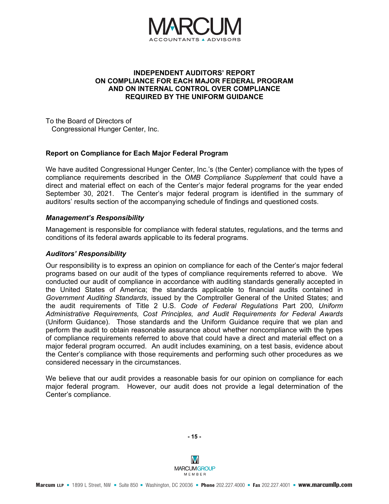

#### **INDEPENDENT AUDITORS' REPORT ON COMPLIANCE FOR EACH MAJOR FEDERAL PROGRAM AND ON INTERNAL CONTROL OVER COMPLIANCE REQUIRED BY THE UNIFORM GUIDANCE**

To the Board of Directors of Congressional Hunger Center, Inc.

#### **Report on Compliance for Each Major Federal Program**

We have audited Congressional Hunger Center, Inc.'s (the Center) compliance with the types of compliance requirements described in the *OMB Compliance Supplement* that could have a direct and material effect on each of the Center's major federal programs for the year ended September 30, 2021. The Center's major federal program is identified in the summary of auditors' results section of the accompanying schedule of findings and questioned costs.

#### *Management's Responsibility*

Management is responsible for compliance with federal statutes, regulations, and the terms and conditions of its federal awards applicable to its federal programs.

#### *Auditors' Responsibility*

Our responsibility is to express an opinion on compliance for each of the Center's major federal programs based on our audit of the types of compliance requirements referred to above. We conducted our audit of compliance in accordance with auditing standards generally accepted in the United States of America; the standards applicable to financial audits contained in *Government Auditing Standards*, issued by the Comptroller General of the United States; and the audit requirements of Title 2 U.S. *Code of Federal Regulations* Part 200*, Uniform Administrative Requirements, Cost Principles, and Audit Requirements for Federal Awards* (Uniform Guidance). Those standards and the Uniform Guidance require that we plan and perform the audit to obtain reasonable assurance about whether noncompliance with the types of compliance requirements referred to above that could have a direct and material effect on a major federal program occurred. An audit includes examining, on a test basis, evidence about the Center's compliance with those requirements and performing such other procedures as we considered necessary in the circumstances.

We believe that our audit provides a reasonable basis for our opinion on compliance for each major federal program. However, our audit does not provide a legal determination of the Center's compliance.



M **MARCUMGROUP** MEMBER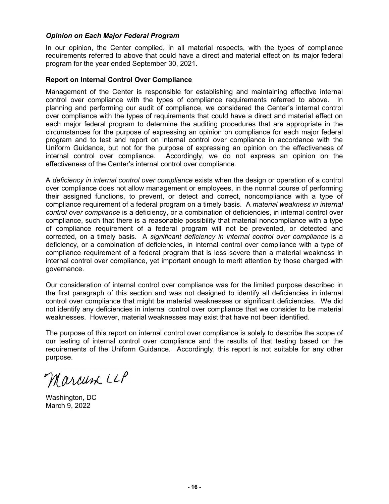#### *Opinion on Each Major Federal Program*

In our opinion, the Center complied, in all material respects, with the types of compliance requirements referred to above that could have a direct and material effect on its major federal program for the year ended September 30, 2021.

#### **Report on Internal Control Over Compliance**

Management of the Center is responsible for establishing and maintaining effective internal control over compliance with the types of compliance requirements referred to above. In planning and performing our audit of compliance, we considered the Center's internal control over compliance with the types of requirements that could have a direct and material effect on each major federal program to determine the auditing procedures that are appropriate in the circumstances for the purpose of expressing an opinion on compliance for each major federal program and to test and report on internal control over compliance in accordance with the Uniform Guidance, but not for the purpose of expressing an opinion on the effectiveness of internal control over compliance. Accordingly, we do not express an opinion on the effectiveness of the Center's internal control over compliance.

A *deficiency in internal control over compliance* exists when the design or operation of a control over compliance does not allow management or employees, in the normal course of performing their assigned functions, to prevent, or detect and correct, noncompliance with a type of compliance requirement of a federal program on a timely basis. A *material weakness in internal control over compliance* is a deficiency, or a combination of deficiencies, in internal control over compliance, such that there is a reasonable possibility that material noncompliance with a type of compliance requirement of a federal program will not be prevented, or detected and corrected, on a timely basis. A *significant deficiency in internal control over compliance* is a deficiency, or a combination of deficiencies, in internal control over compliance with a type of compliance requirement of a federal program that is less severe than a material weakness in internal control over compliance, yet important enough to merit attention by those charged with governance.

Our consideration of internal control over compliance was for the limited purpose described in the first paragraph of this section and was not designed to identify all deficiencies in internal control over compliance that might be material weaknesses or significant deficiencies. We did not identify any deficiencies in internal control over compliance that we consider to be material weaknesses. However, material weaknesses may exist that have not been identified.

The purpose of this report on internal control over compliance is solely to describe the scope of our testing of internal control over compliance and the results of that testing based on the requirements of the Uniform Guidance. Accordingly, this report is not suitable for any other purpose.

Marcum LLP

Washington, DC March 9, 2022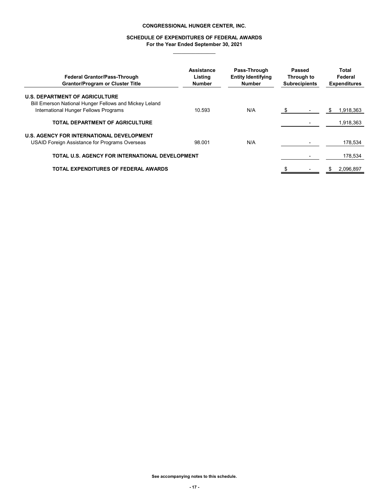## **For the Year Ended September 30, 2021 SCHEDULE OF EXPENDITURES OF FEDERAL AWARDS**

 $\overline{\phantom{a}}$  , where  $\overline{\phantom{a}}$ 

| <b>Federal Grantor/Pass-Through</b><br><b>Grantor/Program or Cluster Title</b>                                                                  | <b>Assistance</b><br>Listing<br><b>Number</b> | Pass-Through<br><b>Entity Identifying</b><br><b>Number</b> |   | <b>Passed</b><br>Through to<br><b>Subrecipients</b> |     | Total<br>Federal<br><b>Expenditures</b> |
|-------------------------------------------------------------------------------------------------------------------------------------------------|-----------------------------------------------|------------------------------------------------------------|---|-----------------------------------------------------|-----|-----------------------------------------|
| <b>U.S. DEPARTMENT OF AGRICULTURE</b><br><b>Bill Emerson National Hunger Fellows and Mickey Leland</b><br>International Hunger Fellows Programs | 10.593                                        | N/A                                                        |   |                                                     | \$. | 1,918,363                               |
| <b>TOTAL DEPARTMENT OF AGRICULTURE</b>                                                                                                          |                                               |                                                            |   |                                                     |     | 1,918,363                               |
| U.S. AGENCY FOR INTERNATIONAL DEVELOPMENT<br><b>USAID Foreign Assistance for Programs Overseas</b>                                              | 98,001                                        | N/A                                                        |   |                                                     |     | 178,534                                 |
| TOTAL U.S. AGENCY FOR INTERNATIONAL DEVELOPMENT                                                                                                 |                                               |                                                            |   |                                                     |     | 178,534                                 |
| TOTAL EXPENDITURES OF FEDERAL AWARDS                                                                                                            |                                               |                                                            | S |                                                     | S   | 2,096,897                               |

**See accompanying notes to this schedule.**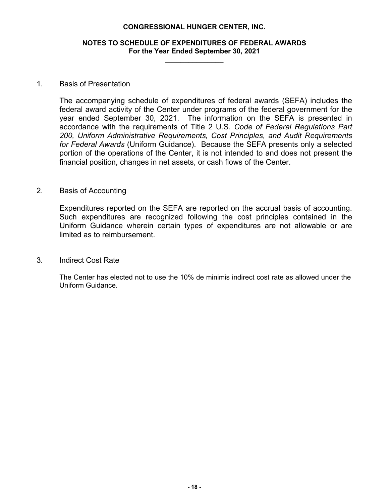#### **NOTES TO SCHEDULE OF EXPENDITURES OF FEDERAL AWARDS For the Year Ended September 30, 2021**

 $\overline{\phantom{a}}$  , where  $\overline{\phantom{a}}$ 

#### 1. Basis of Presentation

The accompanying schedule of expenditures of federal awards (SEFA) includes the federal award activity of the Center under programs of the federal government for the year ended September 30, 2021. The information on the SEFA is presented in accordance with the requirements of Title 2 U.S. *Code of Federal Regulations Part 200, Uniform Administrative Requirements, Cost Principles, and Audit Requirements for Federal Awards* (Uniform Guidance). Because the SEFA presents only a selected portion of the operations of the Center, it is not intended to and does not present the financial position, changes in net assets, or cash flows of the Center.

#### 2. Basis of Accounting

Expenditures reported on the SEFA are reported on the accrual basis of accounting. Such expenditures are recognized following the cost principles contained in the Uniform Guidance wherein certain types of expenditures are not allowable or are limited as to reimbursement.

#### 3. Indirect Cost Rate

The Center has elected not to use the 10% de minimis indirect cost rate as allowed under the Uniform Guidance.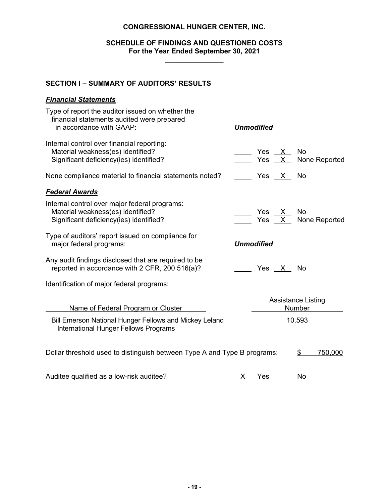#### **SCHEDULE OF FINDINGS AND QUESTIONED COSTS For the Year Ended September 30, 2021**

 $\overline{\phantom{a}}$  , where  $\overline{\phantom{a}}$ 

## **SECTION I – SUMMARY OF AUDITORS' RESULTS**

#### *Financial Statements*

| Type of report the auditor issued on whether the<br>financial statements audited were prepared<br>in accordance with GAAP:    | <b>Unmodified</b> |                                                         |
|-------------------------------------------------------------------------------------------------------------------------------|-------------------|---------------------------------------------------------|
| Internal control over financial reporting:<br>Material weakness(es) identified?<br>Significant deficiency(ies) identified?    | Yes <u>X</u> No   | Yes X None Reported                                     |
| None compliance material to financial statements noted?                                                                       | Yes <u>X</u> No   |                                                         |
| <b>Federal Awards</b>                                                                                                         |                   |                                                         |
| Internal control over major federal programs:<br>Material weakness(es) identified?<br>Significant deficiency(ies) identified? |                   | Yes $\frac{X}{X}$ No<br>Yes $\frac{X}{X}$ None Reported |
| Type of auditors' report issued on compliance for<br>major federal programs:                                                  | <b>Unmodified</b> |                                                         |
| Any audit findings disclosed that are required to be<br>reported in accordance with 2 CFR, 200 516(a)?                        | Yes X No          |                                                         |
| Identification of major federal programs:                                                                                     |                   |                                                         |
| Name of Federal Program or Cluster                                                                                            |                   | <b>Assistance Listing</b><br>Number                     |
| Bill Emerson National Hunger Fellows and Mickey Leland<br><b>International Hunger Fellows Programs</b>                        |                   | 10.593                                                  |
| Dollar threshold used to distinguish between Type A and Type B programs:                                                      |                   | 750,000<br>\$                                           |
| Auditee qualified as a low-risk auditee?                                                                                      | X Yes             | No                                                      |